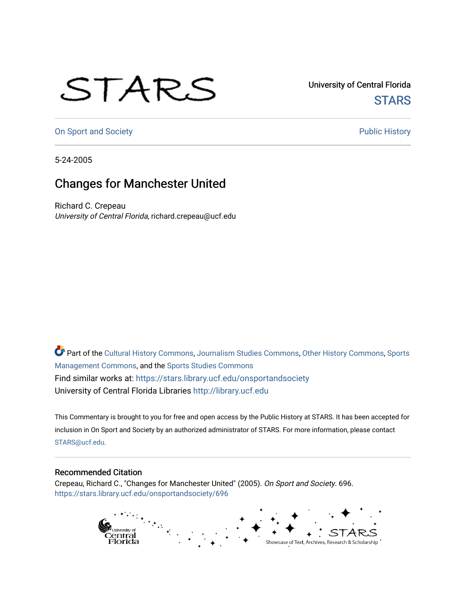## STARS

University of Central Florida **STARS** 

[On Sport and Society](https://stars.library.ucf.edu/onsportandsociety) **Public History** Public History

5-24-2005

## Changes for Manchester United

Richard C. Crepeau University of Central Florida, richard.crepeau@ucf.edu

Part of the [Cultural History Commons](http://network.bepress.com/hgg/discipline/496?utm_source=stars.library.ucf.edu%2Fonsportandsociety%2F696&utm_medium=PDF&utm_campaign=PDFCoverPages), [Journalism Studies Commons,](http://network.bepress.com/hgg/discipline/333?utm_source=stars.library.ucf.edu%2Fonsportandsociety%2F696&utm_medium=PDF&utm_campaign=PDFCoverPages) [Other History Commons,](http://network.bepress.com/hgg/discipline/508?utm_source=stars.library.ucf.edu%2Fonsportandsociety%2F696&utm_medium=PDF&utm_campaign=PDFCoverPages) [Sports](http://network.bepress.com/hgg/discipline/1193?utm_source=stars.library.ucf.edu%2Fonsportandsociety%2F696&utm_medium=PDF&utm_campaign=PDFCoverPages) [Management Commons](http://network.bepress.com/hgg/discipline/1193?utm_source=stars.library.ucf.edu%2Fonsportandsociety%2F696&utm_medium=PDF&utm_campaign=PDFCoverPages), and the [Sports Studies Commons](http://network.bepress.com/hgg/discipline/1198?utm_source=stars.library.ucf.edu%2Fonsportandsociety%2F696&utm_medium=PDF&utm_campaign=PDFCoverPages) Find similar works at: <https://stars.library.ucf.edu/onsportandsociety> University of Central Florida Libraries [http://library.ucf.edu](http://library.ucf.edu/) 

This Commentary is brought to you for free and open access by the Public History at STARS. It has been accepted for inclusion in On Sport and Society by an authorized administrator of STARS. For more information, please contact [STARS@ucf.edu](mailto:STARS@ucf.edu).

## Recommended Citation

Crepeau, Richard C., "Changes for Manchester United" (2005). On Sport and Society. 696. [https://stars.library.ucf.edu/onsportandsociety/696](https://stars.library.ucf.edu/onsportandsociety/696?utm_source=stars.library.ucf.edu%2Fonsportandsociety%2F696&utm_medium=PDF&utm_campaign=PDFCoverPages)

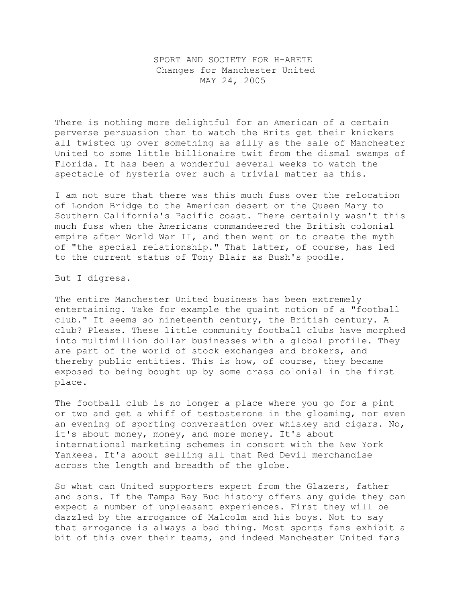## SPORT AND SOCIETY FOR H-ARETE Changes for Manchester United MAY 24, 2005

There is nothing more delightful for an American of a certain perverse persuasion than to watch the Brits get their knickers all twisted up over something as silly as the sale of Manchester United to some little billionaire twit from the dismal swamps of Florida. It has been a wonderful several weeks to watch the spectacle of hysteria over such a trivial matter as this.

I am not sure that there was this much fuss over the relocation of London Bridge to the American desert or the Queen Mary to Southern California's Pacific coast. There certainly wasn't this much fuss when the Americans commandeered the British colonial empire after World War II, and then went on to create the myth of "the special relationship." That latter, of course, has led to the current status of Tony Blair as Bush's poodle.

But I digress.

The entire Manchester United business has been extremely entertaining. Take for example the quaint notion of a "football club." It seems so nineteenth century, the British century. A club? Please. These little community football clubs have morphed into multimillion dollar businesses with a global profile. They are part of the world of stock exchanges and brokers, and thereby public entities. This is how, of course, they became exposed to being bought up by some crass colonial in the first place.

The football club is no longer a place where you go for a pint or two and get a whiff of testosterone in the gloaming, nor even an evening of sporting conversation over whiskey and cigars. No, it's about money, money, and more money. It's about international marketing schemes in consort with the New York Yankees. It's about selling all that Red Devil merchandise across the length and breadth of the globe.

So what can United supporters expect from the Glazers, father and sons. If the Tampa Bay Buc history offers any guide they can expect a number of unpleasant experiences. First they will be dazzled by the arrogance of Malcolm and his boys. Not to say that arrogance is always a bad thing. Most sports fans exhibit a bit of this over their teams, and indeed Manchester United fans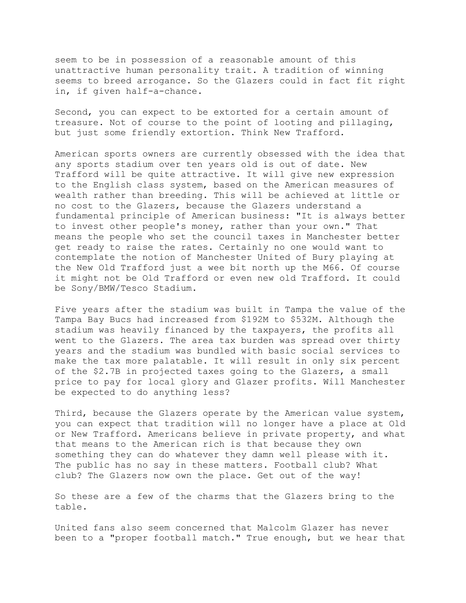seem to be in possession of a reasonable amount of this unattractive human personality trait. A tradition of winning seems to breed arrogance. So the Glazers could in fact fit right in, if given half-a-chance.

Second, you can expect to be extorted for a certain amount of treasure. Not of course to the point of looting and pillaging, but just some friendly extortion. Think New Trafford.

American sports owners are currently obsessed with the idea that any sports stadium over ten years old is out of date. New Trafford will be quite attractive. It will give new expression to the English class system, based on the American measures of wealth rather than breeding. This will be achieved at little or no cost to the Glazers, because the Glazers understand a fundamental principle of American business: "It is always better to invest other people's money, rather than your own." That means the people who set the council taxes in Manchester better get ready to raise the rates. Certainly no one would want to contemplate the notion of Manchester United of Bury playing at the New Old Trafford just a wee bit north up the M66. Of course it might not be Old Trafford or even new old Trafford. It could be Sony/BMW/Tesco Stadium.

Five years after the stadium was built in Tampa the value of the Tampa Bay Bucs had increased from \$192M to \$532M. Although the stadium was heavily financed by the taxpayers, the profits all went to the Glazers. The area tax burden was spread over thirty years and the stadium was bundled with basic social services to make the tax more palatable. It will result in only six percent of the \$2.7B in projected taxes going to the Glazers, a small price to pay for local glory and Glazer profits. Will Manchester be expected to do anything less?

Third, because the Glazers operate by the American value system, you can expect that tradition will no longer have a place at Old or New Trafford. Americans believe in private property, and what that means to the American rich is that because they own something they can do whatever they damn well please with it. The public has no say in these matters. Football club? What club? The Glazers now own the place. Get out of the way!

So these are a few of the charms that the Glazers bring to the table.

United fans also seem concerned that Malcolm Glazer has never been to a "proper football match." True enough, but we hear that